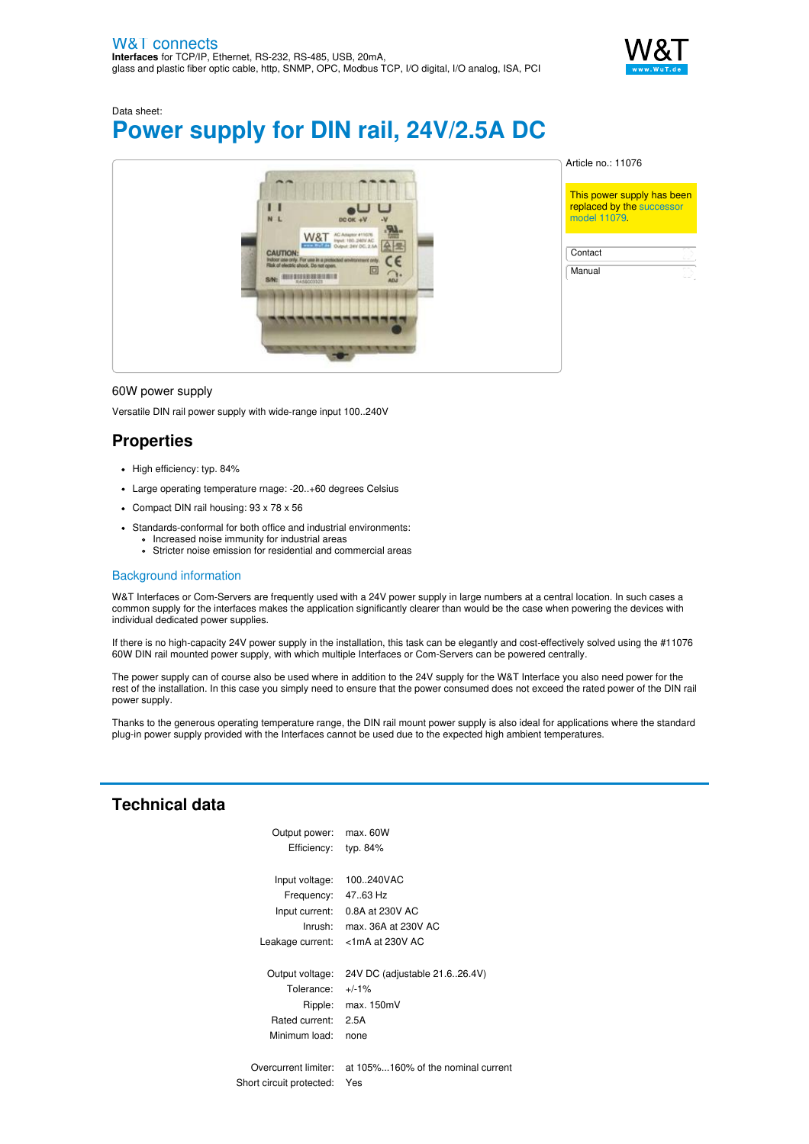

Data sheet:

# **Power supply for DIN rail, 24V/2.5A DC**



Article no.: 11076

This power supply has been replaced by the [successor](https://www.wut.de/e-11079-ww-daus-000.php) model 11079.

**[Contact](https://www.wut.de/e-wwwww-co-inus-000.php)** [Manual](https://www.wut.de/e-11076-10-inus-000.php)

#### 60W power supply

Versatile DIN rail power supply with wide-range input 100..240V

## **Properties**

- High efficiency: typ. 84%
- Large operating temperature rnage: -20..+60 degrees Celsius
- Compact DIN rail housing: 93 x 78 x 56
- Standards-conformal for both office and industrial environments: Increased noise immunity for industrial areas
	- Stricter noise emission for residential and commercial areas

### Background information

W&T Interfaces or Com-Servers are frequently used with a 24V power supply in large numbers at a central location. In such cases a common supply for the interfaces makes the application significantly clearer than would be the case when powering the devices with individual dedicated power supplies.

If there is no high-capacity 24V power supply in the installation, this task can be elegantly and cost-effectively solved using the #11076 60W DIN rail mounted power supply, with which multiple Interfaces or Com-Servers can be powered centrally.

The power supply can of course also be used where in addition to the 24V supply for the W&T Interface you also need power for the rest of the installation. In this case you simply need to ensure that the power consumed does not exceed the rated power of the DIN rail power supply.

Thanks to the generous operating temperature range, the DIN rail mount power supply is also ideal for applications where the standard plug-in power supply provided with the Interfaces cannot be used due to the expected high ambient temperatures.

## **Technical data**

| Output power: max. 60W   |                                                         |
|--------------------------|---------------------------------------------------------|
| Efficiency: typ. 84%     |                                                         |
|                          |                                                         |
| Input voltage:           | 100.240VAC                                              |
| Frequency: 47.63 Hz      |                                                         |
|                          | Input current: 0.8A at 230V AC                          |
| Inrush:                  | max. 36A at 230V AC                                     |
|                          | Leakage current: <1mA at 230V AC                        |
|                          |                                                         |
| Output voltage:          | 24V DC (adjustable 21.6.26.4V)                          |
| Tolerance: $+/-1\%$      |                                                         |
| Ripple:                  | max.150mV                                               |
| Rated current:           | 2.5A                                                    |
| Minimum load:            | none                                                    |
|                          |                                                         |
|                          | Overcurrent limiter: at 105%160% of the nominal current |
| Short circuit protected: | Yes                                                     |